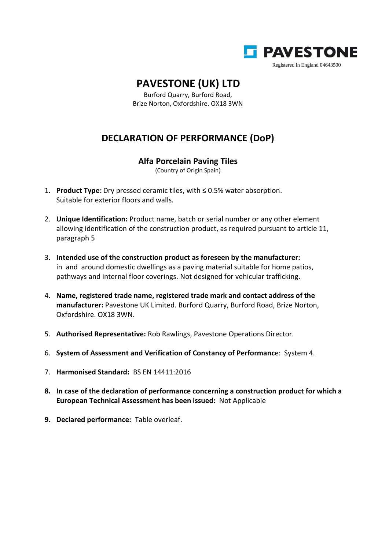

## **PAVESTONE (UK) LTD**

Burford Quarry, Burford Road, Brize Norton, Oxfordshire. OX18 3WN

## **DECLARATION OF PERFORMANCE (DoP)**

## **Alfa Porcelain Paving Tiles**

(Country of Origin Spain)

- 1. **Product Type:** Dry pressed ceramic tiles, with ≤ 0.5% water absorption. Suitable for exterior floors and walls.
- 2. **Unique Identification:** Product name, batch or serial number or any other element allowing identification of the construction product, as required pursuant to article 11, paragraph 5
- 3. **Intended use of the construction product as foreseen by the manufacturer:** in and around domestic dwellings as a paving material suitable for home patios, pathways and internal floor coverings. Not designed for vehicular trafficking.
- 4. **Name, registered trade name, registered trade mark and contact address of the manufacturer:** Pavestone UK Limited. Burford Quarry, Burford Road, Brize Norton, Oxfordshire. OX18 3WN.
- 5. **Authorised Representative:** Rob Rawlings, Pavestone Operations Director.
- 6. **System of Assessment and Verification of Constancy of Performanc**e: System 4.
- 7. **Harmonised Standard:** BS EN 14411:2016
- **8. In case of the declaration of performance concerning a construction product for which a European Technical Assessment has been issued:** Not Applicable
- **9. Declared performance:** Table overleaf.